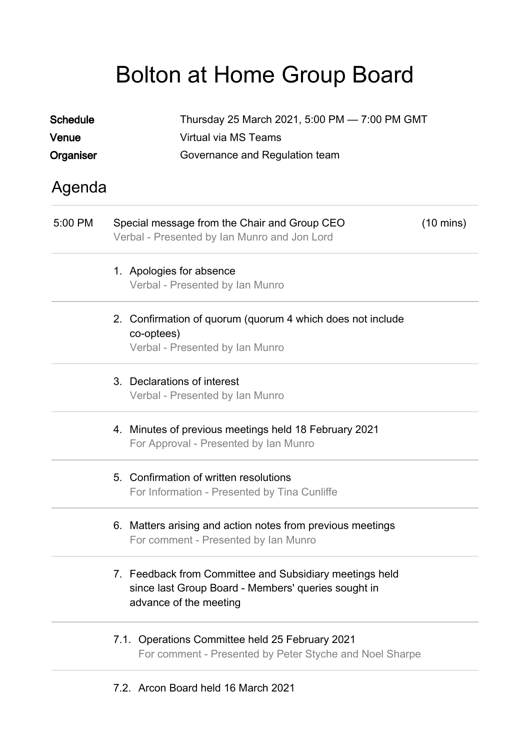## Bolton at Home Group Board

| <b>Schedule</b><br>Venue | Thursday 25 March 2021, 5:00 PM - 7:00 PM GMT<br>Virtual via MS Teams                                                                    |  |  |
|--------------------------|------------------------------------------------------------------------------------------------------------------------------------------|--|--|
| Organiser                | Governance and Regulation team                                                                                                           |  |  |
| Agenda                   |                                                                                                                                          |  |  |
| 5:00 PM                  | Special message from the Chair and Group CEO<br>$(10 \text{ mins})$<br>Verbal - Presented by Ian Munro and Jon Lord                      |  |  |
|                          | 1. Apologies for absence<br>Verbal - Presented by Ian Munro                                                                              |  |  |
|                          | 2. Confirmation of quorum (quorum 4 which does not include<br>co-optees)<br>Verbal - Presented by Ian Munro                              |  |  |
|                          | 3. Declarations of interest<br>Verbal - Presented by Ian Munro                                                                           |  |  |
|                          | 4. Minutes of previous meetings held 18 February 2021<br>For Approval - Presented by Ian Munro                                           |  |  |
|                          | 5. Confirmation of written resolutions<br>For Information - Presented by Tina Cunliffe                                                   |  |  |
|                          | 6. Matters arising and action notes from previous meetings<br>For comment - Presented by Ian Munro                                       |  |  |
|                          | 7. Feedback from Committee and Subsidiary meetings held<br>since last Group Board - Members' queries sought in<br>advance of the meeting |  |  |
|                          | 7.1. Operations Committee held 25 February 2021<br>For comment - Presented by Peter Styche and Noel Sharpe                               |  |  |

7.2. Arcon Board held 16 March 2021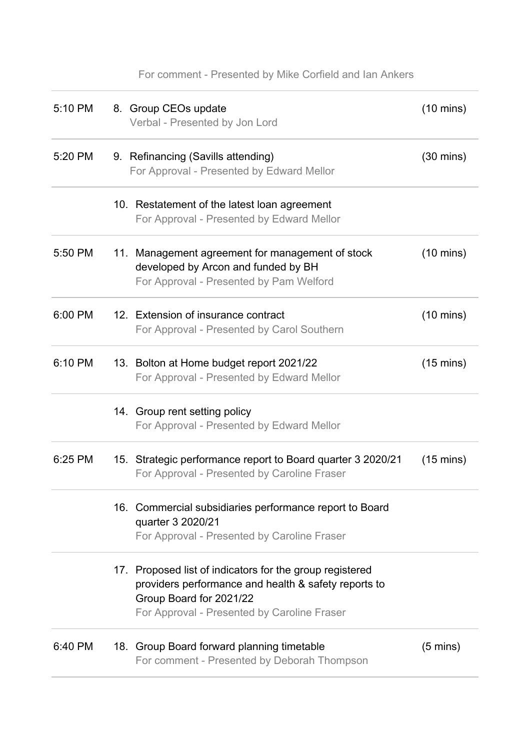| 5:10 PM | 8. Group CEOs update<br>Verbal - Presented by Jon Lord                                                                                                                                     | $(10 \text{ mins})$ |
|---------|--------------------------------------------------------------------------------------------------------------------------------------------------------------------------------------------|---------------------|
| 5:20 PM | 9. Refinancing (Savills attending)<br>For Approval - Presented by Edward Mellor                                                                                                            | $(30 \text{ mins})$ |
|         | 10. Restatement of the latest loan agreement<br>For Approval - Presented by Edward Mellor                                                                                                  |                     |
| 5:50 PM | 11. Management agreement for management of stock<br>developed by Arcon and funded by BH<br>For Approval - Presented by Pam Welford                                                         | $(10 \text{ mins})$ |
| 6:00 PM | 12. Extension of insurance contract<br>For Approval - Presented by Carol Southern                                                                                                          | $(10 \text{ mins})$ |
| 6:10 PM | 13. Bolton at Home budget report 2021/22<br>For Approval - Presented by Edward Mellor                                                                                                      | $(15 \text{ mins})$ |
|         | 14. Group rent setting policy<br>For Approval - Presented by Edward Mellor                                                                                                                 |                     |
| 6:25 PM | 15. Strategic performance report to Board quarter 3 2020/21<br>For Approval - Presented by Caroline Fraser                                                                                 | $(15 \text{ mins})$ |
|         | 16. Commercial subsidiaries performance report to Board<br>quarter 3 2020/21<br>For Approval - Presented by Caroline Fraser                                                                |                     |
|         | 17. Proposed list of indicators for the group registered<br>providers performance and health & safety reports to<br>Group Board for 2021/22<br>For Approval - Presented by Caroline Fraser |                     |
| 6:40 PM | 18. Group Board forward planning timetable<br>For comment - Presented by Deborah Thompson                                                                                                  | $(5 \text{ mins})$  |

For comment - Presented by Mike Corfield and Ian Ankers